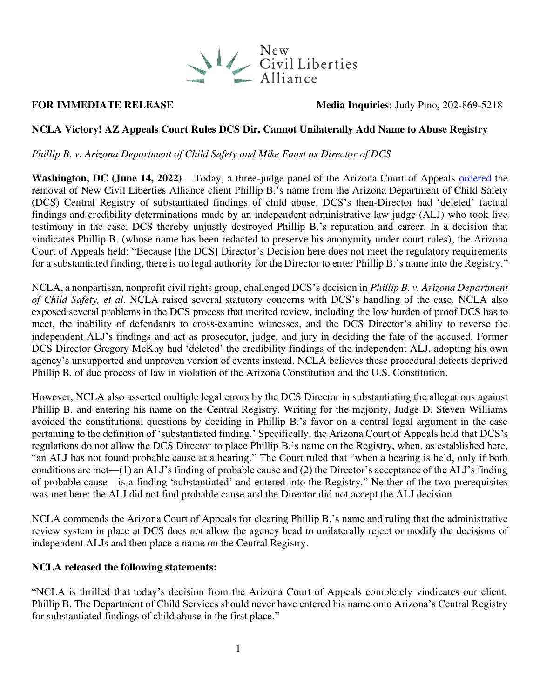

## **FOR IMMEDIATE RELEASE** Media Inquiries: [Judy Pino,](mailto:judy.pino@ncla.legal) 202-869-5218

## **NCLA Victory! AZ Appeals Court Rules DCS Dir. Cannot Unilaterally Add Name to Abuse Registry**

*Phillip B. v. Arizona Department of Child Safety and Mike Faust as Director of DCS* 

**Washington, DC (June 14, 2022)** – Today, a three-judge panel of the Arizona Court of Appeals [ordered](https://nclalegal.org/wp-content/uploads/2022/06/1-CA-CV-20-0569-Phillip-B.-v.-ADCS-Faust-Opinion.pdf) the removal of New Civil Liberties Alliance client Phillip B.'s name from the Arizona Department of Child Safety (DCS) Central Registry of substantiated findings of child abuse. DCS's then-Director had 'deleted' factual findings and credibility determinations made by an independent administrative law judge (ALJ) who took live testimony in the case. DCS thereby unjustly destroyed Phillip B.'s reputation and career. In a decision that vindicates Phillip B. (whose name has been redacted to preserve his anonymity under court rules), the Arizona Court of Appeals held: "Because [the DCS] Director's Decision here does not meet the regulatory requirements for a substantiated finding, there is no legal authority for the Director to enter Phillip B.'s name into the Registry."

NCLA, a nonpartisan, nonprofit civil rights group, challenged DCS's decision in *Phillip B. v. Arizona Department of Child Safety, et al*. NCLA raised several statutory concerns with DCS's handling of the case. NCLA also exposed several problems in the DCS process that merited review, including the low burden of proof DCS has to meet, the inability of defendants to cross-examine witnesses, and the DCS Director's ability to reverse the independent ALJ's findings and act as prosecutor, judge, and jury in deciding the fate of the accused. Former DCS Director Gregory McKay had 'deleted' the credibility findings of the independent ALJ, adopting his own agency's unsupported and unproven version of events instead. NCLA believes these procedural defects deprived Phillip B. of due process of law in violation of the Arizona Constitution and the U.S. Constitution.

However, NCLA also asserted multiple legal errors by the DCS Director in substantiating the allegations against Phillip B. and entering his name on the Central Registry. Writing for the majority, Judge D. Steven Williams avoided the constitutional questions by deciding in Phillip B.'s favor on a central legal argument in the case pertaining to the definition of 'substantiated finding.' Specifically, the Arizona Court of Appeals held that DCS's regulations do not allow the DCS Director to place Phillip B.'s name on the Registry, when, as established here, "an ALJ has not found probable cause at a hearing." The Court ruled that "when a hearing is held, only if both conditions are met—(1) an ALJ's finding of probable cause and (2) the Director's acceptance of the ALJ's finding of probable cause—is a finding 'substantiated' and entered into the Registry." Neither of the two prerequisites was met here: the ALJ did not find probable cause and the Director did not accept the ALJ decision.

NCLA commends the Arizona Court of Appeals for clearing Phillip B.'s name and ruling that the administrative review system in place at DCS does not allow the agency head to unilaterally reject or modify the decisions of independent ALJs and then place a name on the Central Registry.

### **NCLA released the following statements:**

"NCLA is thrilled that today's decision from the Arizona Court of Appeals completely vindicates our client, Phillip B. The Department of Child Services should never have entered his name onto Arizona's Central Registry for substantiated findings of child abuse in the first place."